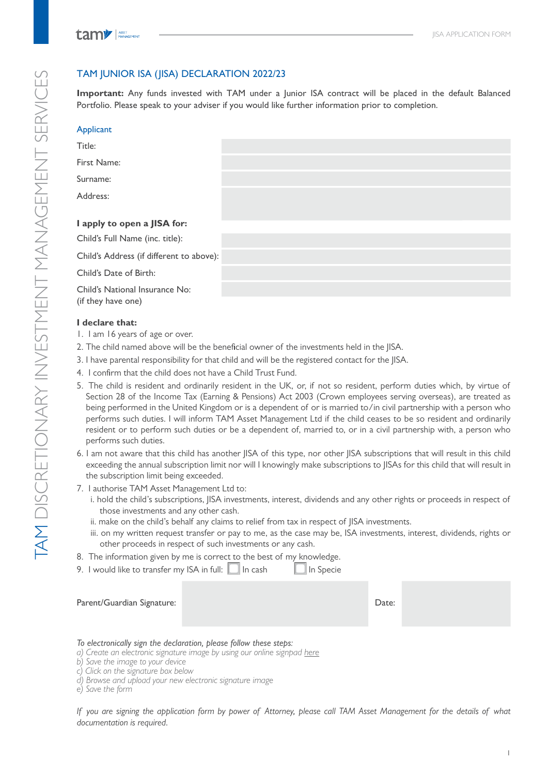# TAM DISCRETIONARY INVESTMENT MANAGEMENT SERVICES TAM DISCRETIONARY INVESTMENT MANAGEMENT SERVICES

# TAM JUNIOR ISA (JISA) DECLARATION 2022/23

**Important:** Any funds invested with TAM under a Junior ISA contract will be placed in the default Balanced Portfolio. Please speak to your adviser if you would like further information prior to completion.

| Applicant                                            |  |
|------------------------------------------------------|--|
| Title:                                               |  |
| First Name:                                          |  |
| Surname:                                             |  |
| Address:                                             |  |
|                                                      |  |
| I apply to open a JISA for:                          |  |
| Child's Full Name (inc. title):                      |  |
| Child's Address (if different to above):             |  |
| Child's Date of Birth:                               |  |
| Child's National Insurance No:<br>(if they have one) |  |

## **I declare that:**

- 1. I am 16 years of age or over.
- 2. The child named above will be the beneficial owner of the investments held in the JISA.
- 3. I have parental responsibility for that child and will be the registered contact for the JISA.
- 4. I confirm that the child does not have a Child Trust Fund.
- 5. The child is resident and ordinarily resident in the UK, or, if not so resident, perform duties which, by virtue of Section 28 of the Income Tax (Earning & Pensions) Act 2003 (Crown employees serving overseas), are treated as being performed in the United Kingdom or is a dependent of or is married to/in civil partnership with a person who performs such duties. I will inform TAM Asset Management Ltd if the child ceases to be so resident and ordinarily resident or to perform such duties or be a dependent of, married to, or in a civil partnership with, a person who performs such duties.
- 6. I am not aware that this child has another JISA of this type, nor other JISA subscriptions that will result in this child exceeding the annual subscription limit nor will I knowingly make subscriptions to JISAs for this child that will result in the subscription limit being exceeded.
- 7. I authorise TAM Asset Management Ltd to:
	- i. hold the child's subscriptions, JISA investments, interest, dividends and any other rights or proceeds in respect of those investments and any other cash.
	- ii. make on the child's behalf any claims to relief from tax in respect of JISA investments.
	- iii. on my written request transfer or pay to me, as the case may be, ISA investments, interest, dividends, rights or other proceeds in respect of such investments or any cash.
- 8. The information given by me is correct to the best of my knowledge.
- 9. I would like to transfer my ISA in full: **I** In cash In Specie

| Parent/Guardian Signature: |                                        | Date: |  |
|----------------------------|----------------------------------------|-------|--|
|                            | $\tau$ is the set of the set of $\tau$ |       |  |

- *To electronically sign the declaration, please follow these steps:*
- *a) Create an electronic signature image by using our online signpad here*
- *b) Save the image to your device*
- *c) Click on the signature box below d) Browse and upload your new electronic signature image*
- *e) Save the form*

*If you are signing the application form by power of Attorney, please call TAM Asset Management for the details of what documentation is required.*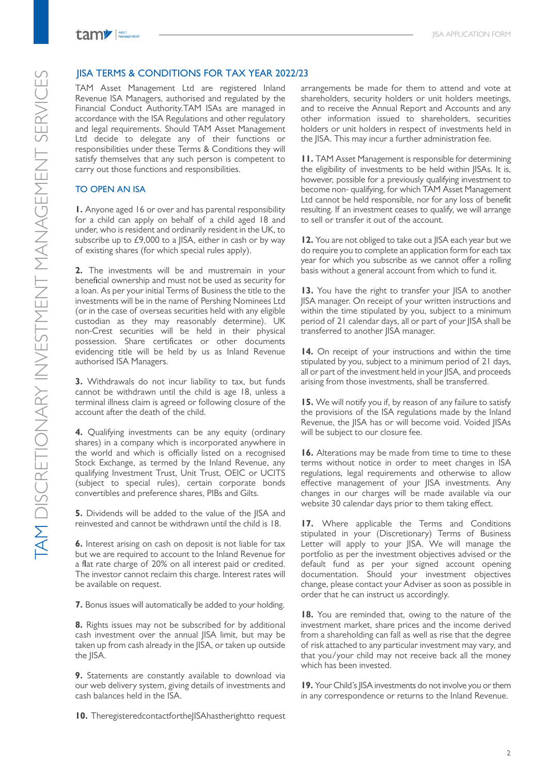

### JISA TERMS & CONDITIONS FOR TAX YEAR 2022/23

TAM Asset Management Ltd are registered Inland Revenue ISA Managers, authorised and regulated by the Financial Conduct Authority.TAM ISAs are managed in accordance with the ISA Regulations and other regulatory and legal requirements. Should TAM Asset Management Ltd decide to delegate any of their functions or responsibilities under these Terms & Conditions they will satisfy themselves that any such person is competent to carry out those functions and responsibilities.

### TO OPEN AN ISA

**1.** Anyone aged 16 or over and has parental responsibility for a child can apply on behalf of a child aged 18 and under, who is resident and ordinarily resident in the UK, to subscribe up to £9,000 to a IISA, either in cash or by way of existing shares (for which special rules apply).

**2.** The investments will be and mustremain in your beneficial ownership and must not be used as security for a loan. As per your initial Terms of Business the title to the investments will be in the name of Pershing Nominees Ltd (or in the case of overseas securities held with any eligible custodian as they may reasonably determine). UK non‐Crest securities will be held in their physical possession. Share certificates or other documents evidencing title will be held by us as Inland Revenue authorised ISA Managers.

**3.** Withdrawals do not incur liability to tax, but funds cannot be withdrawn until the child is age 18, unless a terminal illness claim is agreed or following closure of the account after the death of the child.

**4.** Qualifying investments can be any equity (ordinary shares) in a company which is incorporated anywhere in the world and which is officially listed on a recognised Stock Exchange, as termed by the Inland Revenue, any qualifying Investment Trust, Unit Trust, OEIC or UCITS (subject to special rules), certain corporate bonds convertibles and preference shares, PIBs and Gilts.

**5.** Dividends will be added to the value of the IISA and reinvested and cannot be withdrawn until the child is 18.

**6.** Interest arising on cash on deposit is not liable for tax but we are required to account to the Inland Revenue for a flat rate charge of 20% on all interest paid or credited. The investor cannot reclaim this charge. Interest rates will be available on request.

**7.** Bonus issues will automatically be added to your holding.

**8.** Rights issues may not be subscribed for by additional cash investment over the annual JISA limit, but may be taken up from cash already in the JISA, or taken up outside the JISA.

**9.** Statements are constantly available to download via our web delivery system, giving details of investments and cash balances held in the ISA.

**10.** TheregisteredcontactfortheJISAhastherightto request

arrangements be made for them to attend and vote at shareholders, security holders or unit holders meetings, and to receive the Annual Report and Accounts and any other information issued to shareholders, securities holders or unit holders in respect of investments held in the JISA. This may incur a further administration fee.

**11.** TAM Asset Management is responsible for determining the eligibility of investments to be held within JISAs. It is, however, possible for a previously qualifying investment to become non‐ qualifying, for which TAM Asset Management Ltd cannot be held responsible, nor for any loss of benefit resulting. If an investment ceases to qualify, we will arrange to sell or transfer it out of the account.

**12.** You are not obliged to take out a JISA each year but we do require you to complete an application form for each tax year for which you subscribe as we cannot offer a rolling basis without a general account from which to fund it.

**13.** You have the right to transfer your JISA to another JISA manager. On receipt of your written instructions and within the time stipulated by you, subject to a minimum period of 21 calendar days, all or part of your JISA shall be transferred to another JISA manager.

**14.** On receipt of your instructions and within the time stipulated by you, subject to a minimum period of 21 days, all or part of the investment held in your JISA, and proceeds arising from those investments, shall be transferred.

**15.** We will notify you if, by reason of any failure to satisfy the provisions of the ISA regulations made by the Inland Revenue, the JISA has or will become void. Voided JISAs will be subject to our closure fee.

**16.** Alterations may be made from time to time to these terms without notice in order to meet changes in ISA regulations, legal requirements and otherwise to allow effective management of your JISA investments. Any changes in our charges will be made available via our website 30 calendar days prior to them taking effect.

**17.** Where applicable the Terms and Conditions stipulated in your (Discretionary) Terms of Business Letter will apply to your JISA. We will manage the portfolio as per the investment objectives advised or the default fund as per your signed account opening documentation. Should your investment objectives change, please contact your Adviser as soon as possible in order that he can instruct us accordingly.

**18.** You are reminded that, owing to the nature of the investment market, share prices and the income derived from a shareholding can fall as well as rise that the degree of risk attached to any particular investment may vary, and that you/your child may not receive back all the money which has been invested.

**19.** Your Child's JISA investments do not involve you or them in any correspondence or returns to the Inland Revenue.